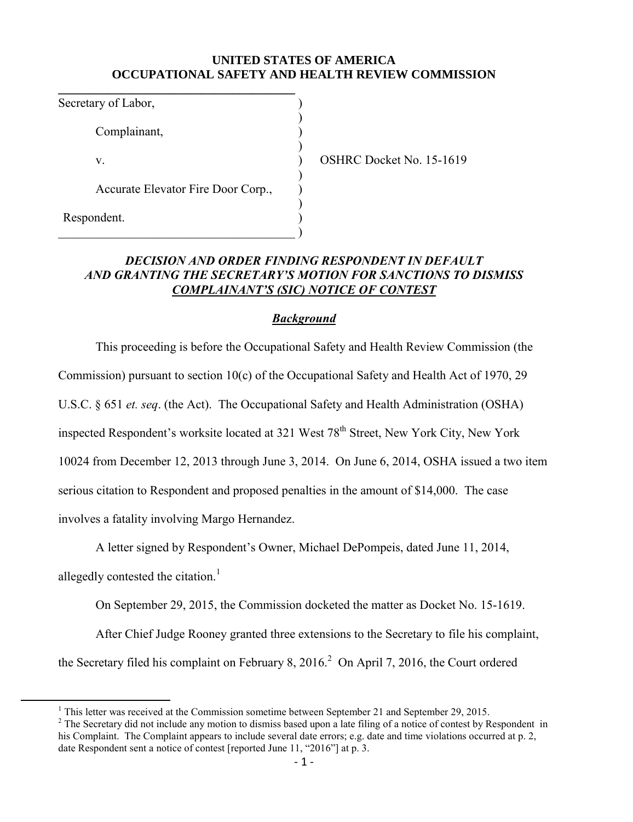## **UNITED STATES OF AMERICA OCCUPATIONAL SAFETY AND HEALTH REVIEW COMMISSION**

| Secretary of Labor,                |  |
|------------------------------------|--|
| Complainant,                       |  |
| V.                                 |  |
| Accurate Elevator Fire Door Corp., |  |
| Respondent.                        |  |
|                                    |  |

 $SHRC$  Docket No. 15-1619

## *DECISION AND ORDER FINDING RESPONDENT IN DEFAULT AND GRANTING THE SECRETARY'S MOTION FOR SANCTIONS TO DISMISS COMPLAINANT'S (SIC) NOTICE OF CONTEST*

## *Background*

This proceeding is before the Occupational Safety and Health Review Commission (the Commission) pursuant to section 10(c) of the Occupational Safety and Health Act of 1970, 29 U.S.C. § 651 *et. seq*. (the Act). The Occupational Safety and Health Administration (OSHA) inspected Respondent's worksite located at 321 West 78<sup>th</sup> Street, New York City, New York 10024 from December 12, 2013 through June 3, 2014. On June 6, 2014, OSHA issued a two item serious citation to Respondent and proposed penalties in the amount of \$14,000. The case involves a fatality involving Margo Hernandez.

A letter signed by Respondent's Owner, Michael DePompeis, dated June 11, 2014, allegedly contested the citation.<sup>1</sup>

On September 29, 2015, the Commission docketed the matter as Docket No. 15-1619.

After Chief Judge Rooney granted three extensions to the Secretary to file his complaint,

the Secretary filed his complaint on February 8, 2016.<sup>2</sup> On April 7, 2016, the Court ordered

 $\overline{a}$ 

 $1$  This letter was received at the Commission sometime between September 21 and September 29, 2015.

 $2^2$  The Secretary did not include any motion to dismiss based upon a late filing of a notice of contest by Respondent in his Complaint. The Complaint appears to include several date errors; e.g. date and time violations occurred at p. 2, date Respondent sent a notice of contest [reported June 11, "2016"] at p. 3.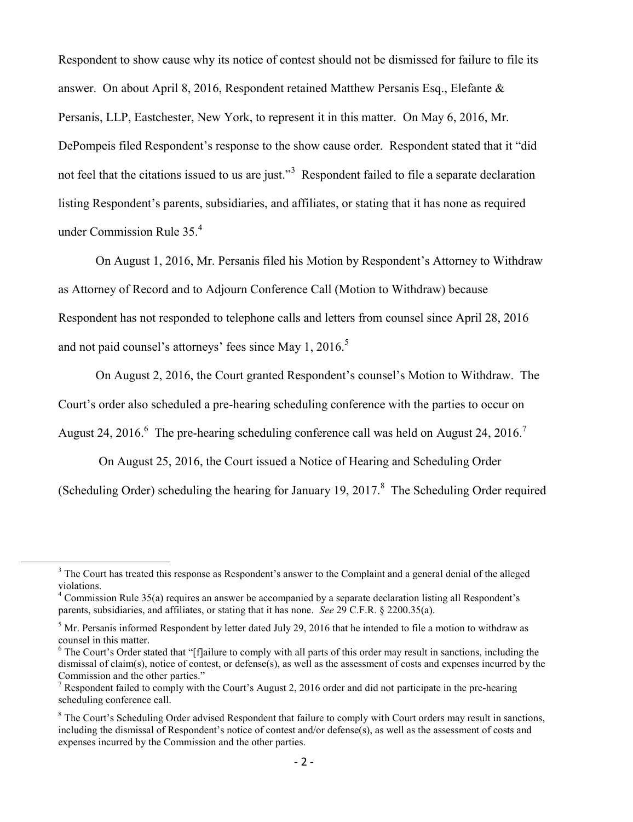Respondent to show cause why its notice of contest should not be dismissed for failure to file its answer. On about April 8, 2016, Respondent retained Matthew Persanis Esq., Elefante & Persanis, LLP, Eastchester, New York, to represent it in this matter. On May 6, 2016, Mr. DePompeis filed Respondent's response to the show cause order. Respondent stated that it "did not feel that the citations issued to us are just."<sup>3</sup> Respondent failed to file a separate declaration listing Respondent's parents, subsidiaries, and affiliates, or stating that it has none as required under Commission Rule 35.<sup>4</sup>

On August 1, 2016, Mr. Persanis filed his Motion by Respondent's Attorney to Withdraw as Attorney of Record and to Adjourn Conference Call (Motion to Withdraw) because Respondent has not responded to telephone calls and letters from counsel since April 28, 2016 and not paid counsel's attorneys' fees since May 1, 2016.<sup>5</sup>

On August 2, 2016, the Court granted Respondent's counsel's Motion to Withdraw. The

Court's order also scheduled a pre-hearing scheduling conference with the parties to occur on

August 24, 2016.<sup>6</sup> The pre-hearing scheduling conference call was held on August 24, 2016.<sup>7</sup>

On August 25, 2016, the Court issued a Notice of Hearing and Scheduling Order

(Scheduling Order) scheduling the hearing for January 19, 2017. $8$  The Scheduling Order required

l

<sup>&</sup>lt;sup>3</sup> The Court has treated this response as Respondent's answer to the Complaint and a general denial of the alleged violations.

<sup>&</sup>lt;sup>4</sup> Commission Rule 35(a) requires an answer be accompanied by a separate declaration listing all Respondent's parents, subsidiaries, and affiliates, or stating that it has none. *See* 29 C.F.R. § 2200.35(a).

<sup>&</sup>lt;sup>5</sup> Mr. Persanis informed Respondent by letter dated July 29, 2016 that he intended to file a motion to withdraw as counsel in this matter.

 $6$  The Court's Order stated that "[f]ailure to comply with all parts of this order may result in sanctions, including the dismissal of claim(s), notice of contest, or defense(s), as well as the assessment of costs and expenses incurred by the Commission and the other parties."

<sup>&</sup>lt;sup>7</sup> Respondent failed to comply with the Court's August 2, 2016 order and did not participate in the pre-hearing scheduling conference call.

<sup>&</sup>lt;sup>8</sup> The Court's Scheduling Order advised Respondent that failure to comply with Court orders may result in sanctions, including the dismissal of Respondent's notice of contest and/or defense(s), as well as the assessment of costs and expenses incurred by the Commission and the other parties.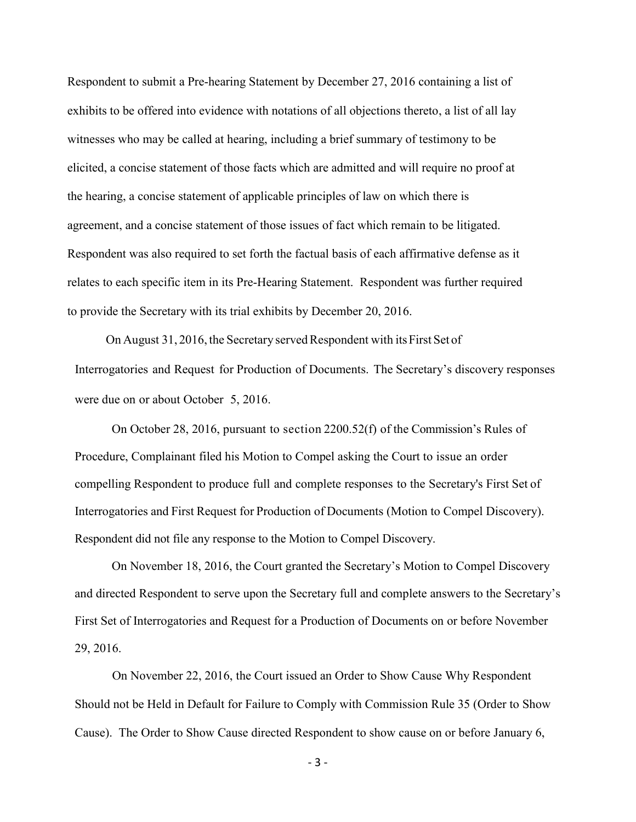Respondent to submit a Pre-hearing Statement by December 27, 2016 containing a list of exhibits to be offered into evidence with notations of all objections thereto, a list of all lay witnesses who may be called at hearing, including a brief summary of testimony to be elicited, a concise statement of those facts which are admitted and will require no proof at the hearing, a concise statement of applicable principles of law on which there is agreement, and a concise statement of those issues of fact which remain to be litigated. Respondent was also required to set forth the factual basis of each affirmative defense as it relates to each specific item in its Pre-Hearing Statement. Respondent was further required to provide the Secretary with its trial exhibits by December 20, 2016.

 On August 31, 2016, the Secretary served Respondent with its First Set of Interrogatories and Request for Production of Documents. The Secretary's discovery responses were due on or about October 5, 2016.

On October 28, 2016, pursuant to section 2200.52(f) of the Commission's Rules of Procedure, Complainant filed his Motion to Compel asking the Court to issue an order compelling Respondent to produce full and complete responses to the Secretary's First Set of Interrogatories and First Request for Production of Documents (Motion to Compel Discovery). Respondent did not file any response to the Motion to Compel Discovery.

On November 18, 2016, the Court granted the Secretary's Motion to Compel Discovery and directed Respondent to serve upon the Secretary full and complete answers to the Secretary's First Set of Interrogatories and Request for a Production of Documents on or before November 29, 2016.

 On November 22, 2016, the Court issued an Order to Show Cause Why Respondent Should not be Held in Default for Failure to Comply with Commission Rule 35 (Order to Show Cause). The Order to Show Cause directed Respondent to show cause on or before January 6,

- 3 -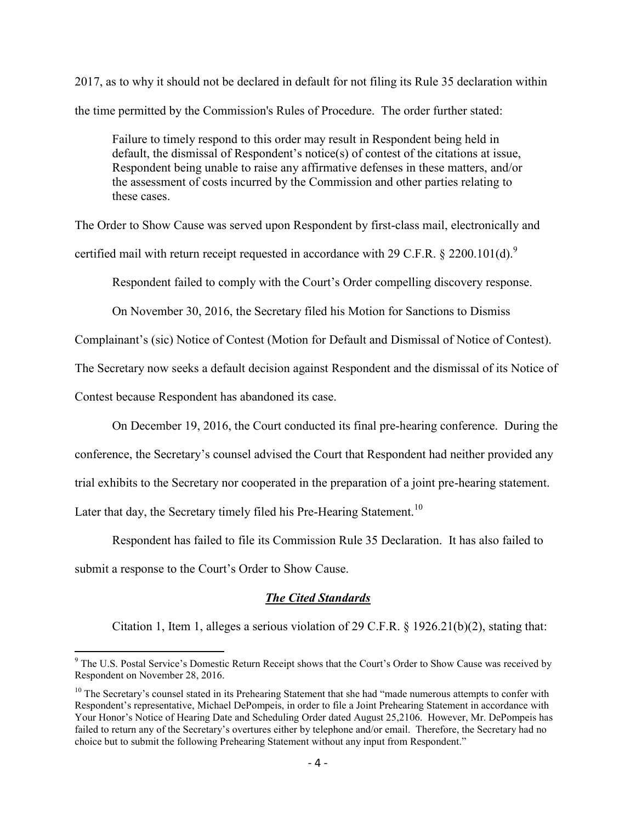2017, as to why it should not be declared in default for not filing its Rule 35 declaration within the time permitted by the Commission's Rules of Procedure. The order further stated:

Failure to timely respond to this order may result in Respondent being held in default, the dismissal of Respondent's notice(s) of contest of the citations at issue, Respondent being unable to raise any affirmative defenses in these matters, and/or the assessment of costs incurred by the Commission and other parties relating to these cases.

The Order to Show Cause was served upon Respondent by first-class mail, electronically and certified mail with return receipt requested in accordance with 29 C.F.R.  $\&$  2200.101(d).<sup>9</sup>

Respondent failed to comply with the Court's Order compelling discovery response.

On November 30, 2016, the Secretary filed his Motion for Sanctions to Dismiss

Complainant's (sic) Notice of Contest (Motion for Default and Dismissal of Notice of Contest).

The Secretary now seeks a default decision against Respondent and the dismissal of its Notice of

Contest because Respondent has abandoned its case.

On December 19, 2016, the Court conducted its final pre-hearing conference. During the

conference, the Secretary's counsel advised the Court that Respondent had neither provided any

trial exhibits to the Secretary nor cooperated in the preparation of a joint pre-hearing statement.

Later that day, the Secretary timely filed his Pre-Hearing Statement.<sup>10</sup>

 Respondent has failed to file its Commission Rule 35 Declaration. It has also failed to submit a response to the Court's Order to Show Cause.

## *The Cited Standards*

Citation 1, Item 1, alleges a serious violation of 29 C.F.R. § 1926.21(b)(2), stating that:

<sup>&</sup>lt;sup>9</sup> The U.S. Postal Service's Domestic Return Receipt shows that the Court's Order to Show Cause was received by <sup>9</sup> Respondent on November 28, 2016.

 $10$  The Secretary's counsel stated in its Prehearing Statement that she had "made numerous attempts to confer with Respondent's representative, Michael DePompeis, in order to file a Joint Prehearing Statement in accordance with Your Honor's Notice of Hearing Date and Scheduling Order dated August 25,2106. However, Mr. DePompeis has failed to return any of the Secretary's overtures either by telephone and/or email. Therefore, the Secretary had no choice but to submit the following Prehearing Statement without any input from Respondent."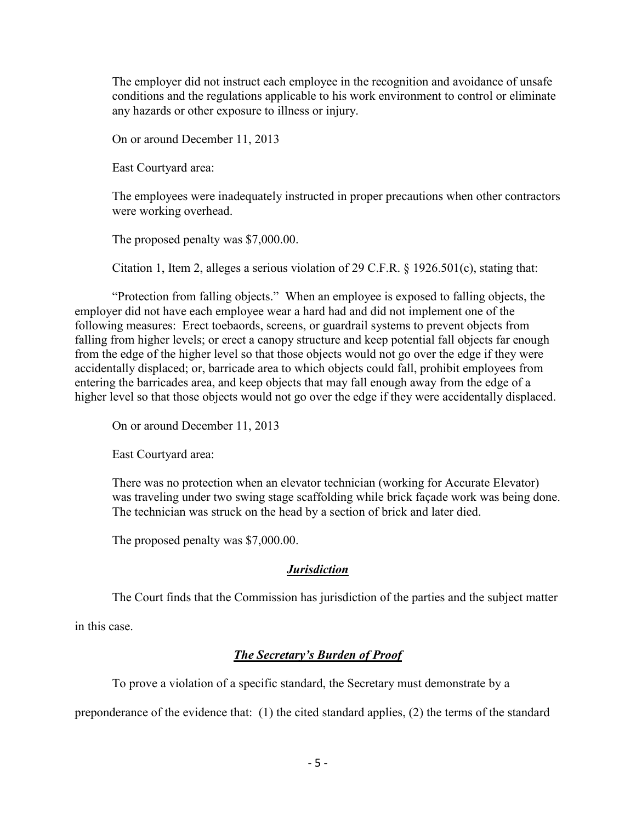The employer did not instruct each employee in the recognition and avoidance of unsafe conditions and the regulations applicable to his work environment to control or eliminate any hazards or other exposure to illness or injury.

On or around December 11, 2013

East Courtyard area:

The employees were inadequately instructed in proper precautions when other contractors were working overhead.

The proposed penalty was \$7,000.00.

Citation 1, Item 2, alleges a serious violation of 29 C.F.R. § 1926.501(c), stating that:

"Protection from falling objects." When an employee is exposed to falling objects, the employer did not have each employee wear a hard had and did not implement one of the following measures: Erect toebaords, screens, or guardrail systems to prevent objects from falling from higher levels; or erect a canopy structure and keep potential fall objects far enough from the edge of the higher level so that those objects would not go over the edge if they were accidentally displaced; or, barricade area to which objects could fall, prohibit employees from entering the barricades area, and keep objects that may fall enough away from the edge of a higher level so that those objects would not go over the edge if they were accidentally displaced.

On or around December 11, 2013

East Courtyard area:

There was no protection when an elevator technician (working for Accurate Elevator) was traveling under two swing stage scaffolding while brick façade work was being done. The technician was struck on the head by a section of brick and later died.

The proposed penalty was \$7,000.00.

# *Jurisdiction*

The Court finds that the Commission has jurisdiction of the parties and the subject matter

in this case.

# *The Secretary's Burden of Proof*

To prove a violation of a specific standard, the Secretary must demonstrate by a

preponderance of the evidence that: (1) the cited standard applies, (2) the terms of the standard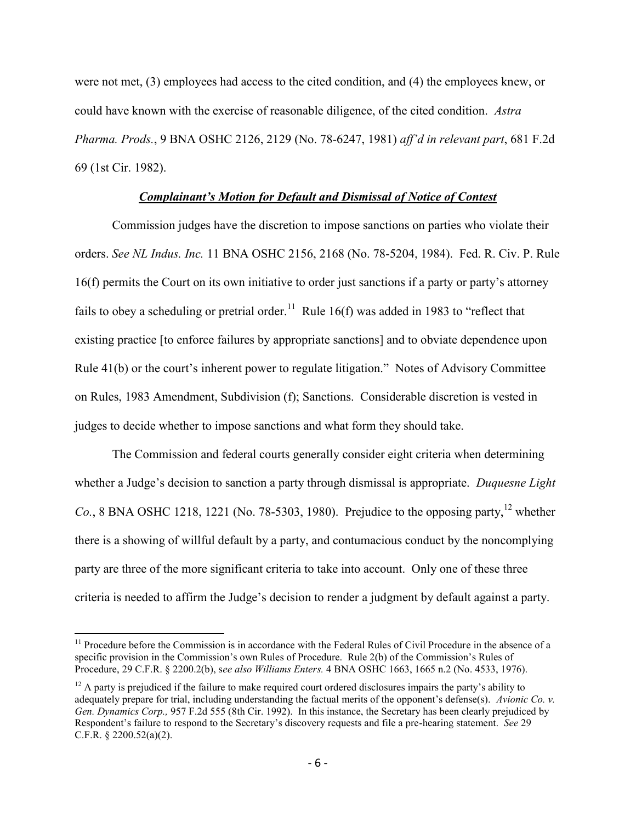were not met, (3) employees had access to the cited condition, and (4) the employees knew, or could have known with the exercise of reasonable diligence, of the cited condition. *Astra Pharma. Prods.*, 9 BNA OSHC 2126, 2129 (No. 78-6247, 1981) *aff'd in relevant part*, 681 F.2d 69 (1st Cir. 1982).

### *Complainant's Motion for Default and Dismissal of Notice of Contest*

Commission judges have the discretion to impose sanctions on parties who violate their orders. *See NL Indus. Inc.* 11 BNA OSHC 2156, 2168 (No. 78-5204, 1984). Fed. R. Civ. P. Rule 16(f) permits the Court on its own initiative to order just sanctions if a party or party's attorney fails to obey a scheduling or pretrial order.<sup>11</sup> Rule 16(f) was added in 1983 to "reflect that existing practice [to enforce failures by appropriate sanctions] and to obviate dependence upon Rule 41(b) or the court's inherent power to regulate litigation." Notes of Advisory Committee on Rules, 1983 Amendment, Subdivision (f); Sanctions. Considerable discretion is vested in judges to decide whether to impose sanctions and what form they should take.

The Commission and federal courts generally consider eight criteria when determining whether a Judge's decision to sanction a party through dismissal is appropriate. *Duquesne Light Co.*, 8 BNA OSHC 1218, 1221 (No. 78-5303, 1980). Prejudice to the opposing party,  $^{12}$  whether there is a showing of willful default by a party, and contumacious conduct by the noncomplying party are three of the more significant criteria to take into account. Only one of these three criteria is needed to affirm the Judge's decision to render a judgment by default against a party.

 $\overline{a}$ 

 $11$  Procedure before the Commission is in accordance with the Federal Rules of Civil Procedure in the absence of a specific provision in the Commission's own Rules of Procedure. Rule 2(b) of the Commission's Rules of Procedure, 29 C.F.R. § 2200.2(b), s*ee also Williams Enters.* 4 BNA OSHC 1663, 1665 n.2 (No. 4533, 1976).

 $12$  A party is prejudiced if the failure to make required court ordered disclosures impairs the party's ability to adequately prepare for trial, including understanding the factual merits of the opponent's defense(s). *Avionic Co. v. Gen. Dynamics Corp.,* 957 F.2d 555 (8th Cir. 1992). In this instance, the Secretary has been clearly prejudiced by Respondent's failure to respond to the Secretary's discovery requests and file a pre-hearing statement. *See* 29 C.F.R. § 2200.52(a)(2).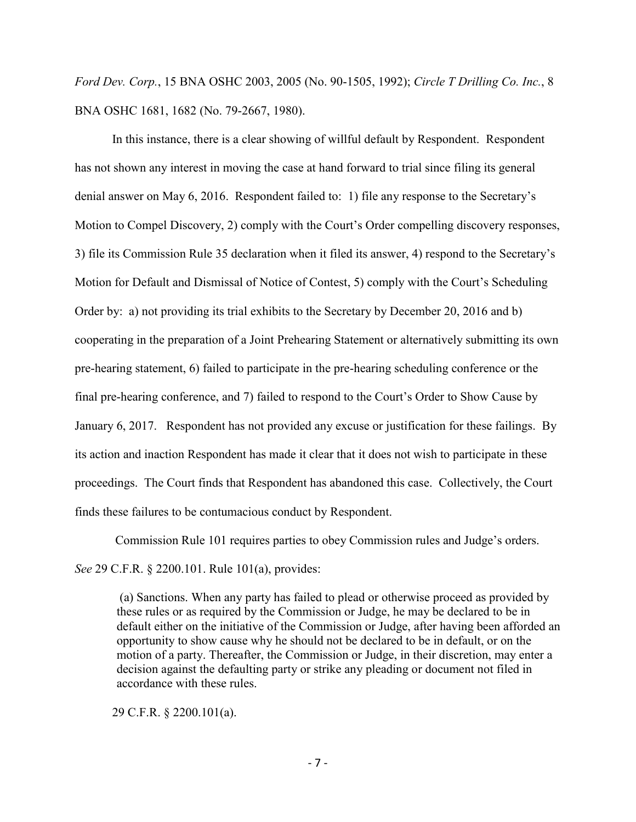*Ford Dev. Corp.*, 15 BNA OSHC 2003, 2005 (No. 90-1505, 1992); *Circle T Drilling Co. Inc.*, 8 BNA OSHC 1681, 1682 (No. 79-2667, 1980).

In this instance, there is a clear showing of willful default by Respondent. Respondent has not shown any interest in moving the case at hand forward to trial since filing its general denial answer on May 6, 2016. Respondent failed to: 1) file any response to the Secretary's Motion to Compel Discovery, 2) comply with the Court's Order compelling discovery responses, 3) file its Commission Rule 35 declaration when it filed its answer, 4) respond to the Secretary's Motion for Default and Dismissal of Notice of Contest, 5) comply with the Court's Scheduling Order by: a) not providing its trial exhibits to the Secretary by December 20, 2016 and b) cooperating in the preparation of a Joint Prehearing Statement or alternatively submitting its own pre-hearing statement, 6) failed to participate in the pre-hearing scheduling conference or the final pre-hearing conference, and 7) failed to respond to the Court's Order to Show Cause by January 6, 2017. Respondent has not provided any excuse or justification for these failings. By its action and inaction Respondent has made it clear that it does not wish to participate in these proceedings. The Court finds that Respondent has abandoned this case. Collectively, the Court finds these failures to be contumacious conduct by Respondent.

Commission Rule 101 requires parties to obey Commission rules and Judge's orders.

*See* 29 C.F.R. § 2200.101. Rule 101(a), provides:

(a) Sanctions. When any party has failed to plead or otherwise proceed as provided by these rules or as required by the Commission or Judge, he may be declared to be in default either on the initiative of the Commission or Judge, after having been afforded an opportunity to show cause why he should not be declared to be in default, or on the motion of a party. Thereafter, the Commission or Judge, in their discretion, may enter a decision against the defaulting party or strike any pleading or document not filed in accordance with these rules.

29 C.F.R. § 2200.101(a).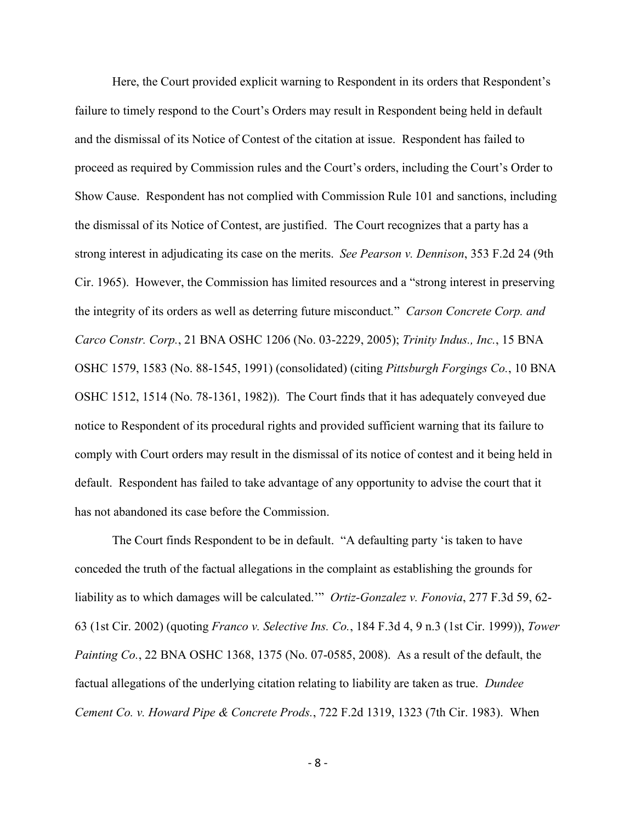Here, the Court provided explicit warning to Respondent in its orders that Respondent's failure to timely respond to the Court's Orders may result in Respondent being held in default and the dismissal of its Notice of Contest of the citation at issue. Respondent has failed to proceed as required by Commission rules and the Court's orders, including the Court's Order to Show Cause. Respondent has not complied with Commission Rule 101 and sanctions, including the dismissal of its Notice of Contest, are justified. The Court recognizes that a party has a strong interest in adjudicating its case on the merits. *See Pearson v. Dennison*, 353 F.2d 24 (9th Cir. 1965). However, the Commission has limited resources and a "strong interest in preserving the integrity of its orders as well as deterring future misconduct*.*" *Carson Concrete Corp. and Carco Constr. Corp.*, 21 BNA OSHC 1206 (No. 03-2229, 2005); *Trinity Indus., Inc.*, 15 BNA OSHC 1579, 1583 (No. 88-1545, 1991) (consolidated) (citing *Pittsburgh Forgings Co.*, 10 BNA OSHC 1512, 1514 (No. 78-1361, 1982)). The Court finds that it has adequately conveyed due notice to Respondent of its procedural rights and provided sufficient warning that its failure to comply with Court orders may result in the dismissal of its notice of contest and it being held in default. Respondent has failed to take advantage of any opportunity to advise the court that it has not abandoned its case before the Commission.

The Court finds Respondent to be in default. "A defaulting party 'is taken to have conceded the truth of the factual allegations in the complaint as establishing the grounds for liability as to which damages will be calculated.'" *Ortiz-Gonzalez v. Fonovia*, 277 F.3d 59, 62- 63 (1st Cir. 2002) (quoting *Franco v. Selective Ins. Co.*, 184 F.3d 4, 9 n.3 (1st Cir. 1999)), *Tower Painting Co.*, 22 BNA OSHC 1368, 1375 (No. 07-0585, 2008). As a result of the default, the factual allegations of the underlying citation relating to liability are taken as true. *Dundee Cement Co. v. Howard Pipe & Concrete Prods.*, 722 F.2d 1319, 1323 (7th Cir. 1983). When

- 8 -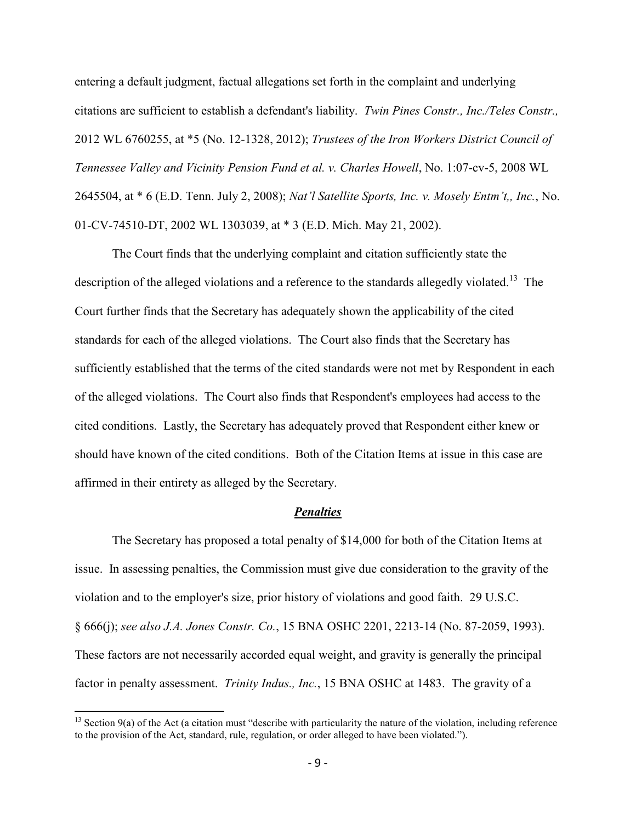entering a default judgment, factual allegations set forth in the complaint and underlying citations are sufficient to establish a defendant's liability. *Twin Pines Constr., Inc./Teles Constr.,*  2012 WL 6760255, at \*5 (No. 12-1328, 2012); *Trustees of the Iron Workers District Council of Tennessee Valley and Vicinity Pension Fund et al. v. Charles Howell*, No. 1:07-cv-5, 2008 WL 2645504, at \* 6 (E.D. Tenn. July 2, 2008); *Nat'l Satellite Sports, Inc. v. Mosely Entm't,, Inc.*, No. 01-CV-74510-DT, 2002 WL 1303039, at \* 3 (E.D. Mich. May 21, 2002).

The Court finds that the underlying complaint and citation sufficiently state the description of the alleged violations and a reference to the standards allegedly violated.<sup>13</sup> The Court further finds that the Secretary has adequately shown the applicability of the cited standards for each of the alleged violations. The Court also finds that the Secretary has sufficiently established that the terms of the cited standards were not met by Respondent in each of the alleged violations. The Court also finds that Respondent's employees had access to the cited conditions. Lastly, the Secretary has adequately proved that Respondent either knew or should have known of the cited conditions. Both of the Citation Items at issue in this case are affirmed in their entirety as alleged by the Secretary.

#### *Penalties*

The Secretary has proposed a total penalty of \$14,000 for both of the Citation Items at issue. In assessing penalties, the Commission must give due consideration to the gravity of the violation and to the employer's size, prior history of violations and good faith. 29 U.S.C. § 666(j); *see also J.A. Jones Constr. Co.*, 15 BNA OSHC 2201, 2213-14 (No. 87-2059, 1993). These factors are not necessarily accorded equal weight, and gravity is generally the principal factor in penalty assessment. *Trinity Indus., Inc.*, 15 BNA OSHC at 1483. The gravity of a

 $\overline{a}$ 

 $13$  Section 9(a) of the Act (a citation must "describe with particularity the nature of the violation, including reference to the provision of the Act, standard, rule, regulation, or order alleged to have been violated.").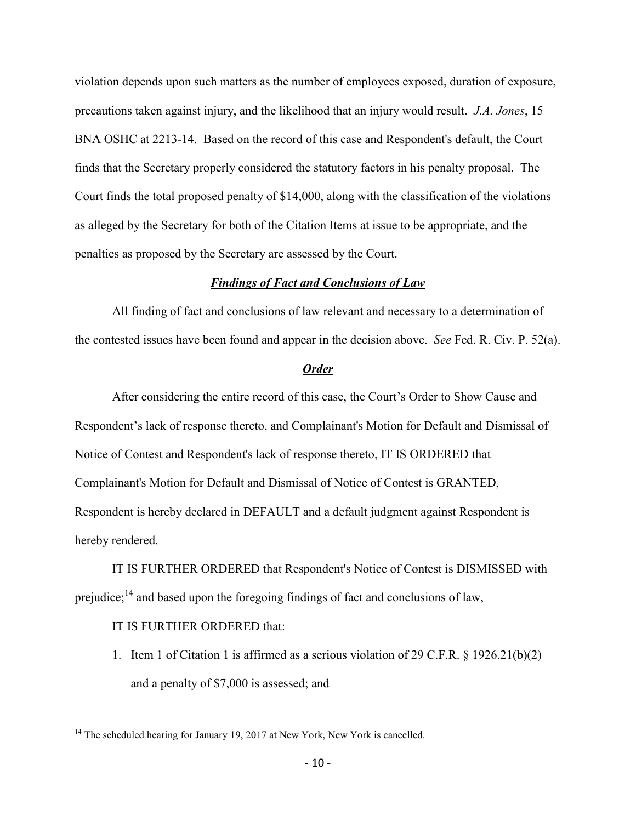violation depends upon such matters as the number of employees exposed, duration of exposure, precautions taken against injury, and the likelihood that an injury would result. *J.A. Jones*, 15 BNA OSHC at 2213-14. Based on the record of this case and Respondent's default, the Court finds that the Secretary properly considered the statutory factors in his penalty proposal. The Court finds the total proposed penalty of \$14,000, along with the classification of the violations as alleged by the Secretary for both of the Citation Items at issue to be appropriate, and the penalties as proposed by the Secretary are assessed by the Court.

#### *Findings of Fact and Conclusions of Law*

All finding of fact and conclusions of law relevant and necessary to a determination of the contested issues have been found and appear in the decision above. *See* Fed. R. Civ. P. 52(a).

#### *Order*

 After considering the entire record of this case, the Court's Order to Show Cause and Respondent's lack of response thereto, and Complainant's Motion for Default and Dismissal of Notice of Contest and Respondent's lack of response thereto, IT IS ORDERED that Complainant's Motion for Default and Dismissal of Notice of Contest is GRANTED, Respondent is hereby declared in DEFAULT and a default judgment against Respondent is hereby rendered.

IT IS FURTHER ORDERED that Respondent's Notice of Contest is DISMISSED with prejudice; $^{14}$  and based upon the foregoing findings of fact and conclusions of law,

## IT IS FURTHER ORDERED that:

 $\overline{a}$ 

1. Item 1 of Citation 1 is affirmed as a serious violation of 29 C.F.R. § 1926.21(b)(2) and a penalty of \$7,000 is assessed; and

 $14$  The scheduled hearing for January 19, 2017 at New York, New York is cancelled.